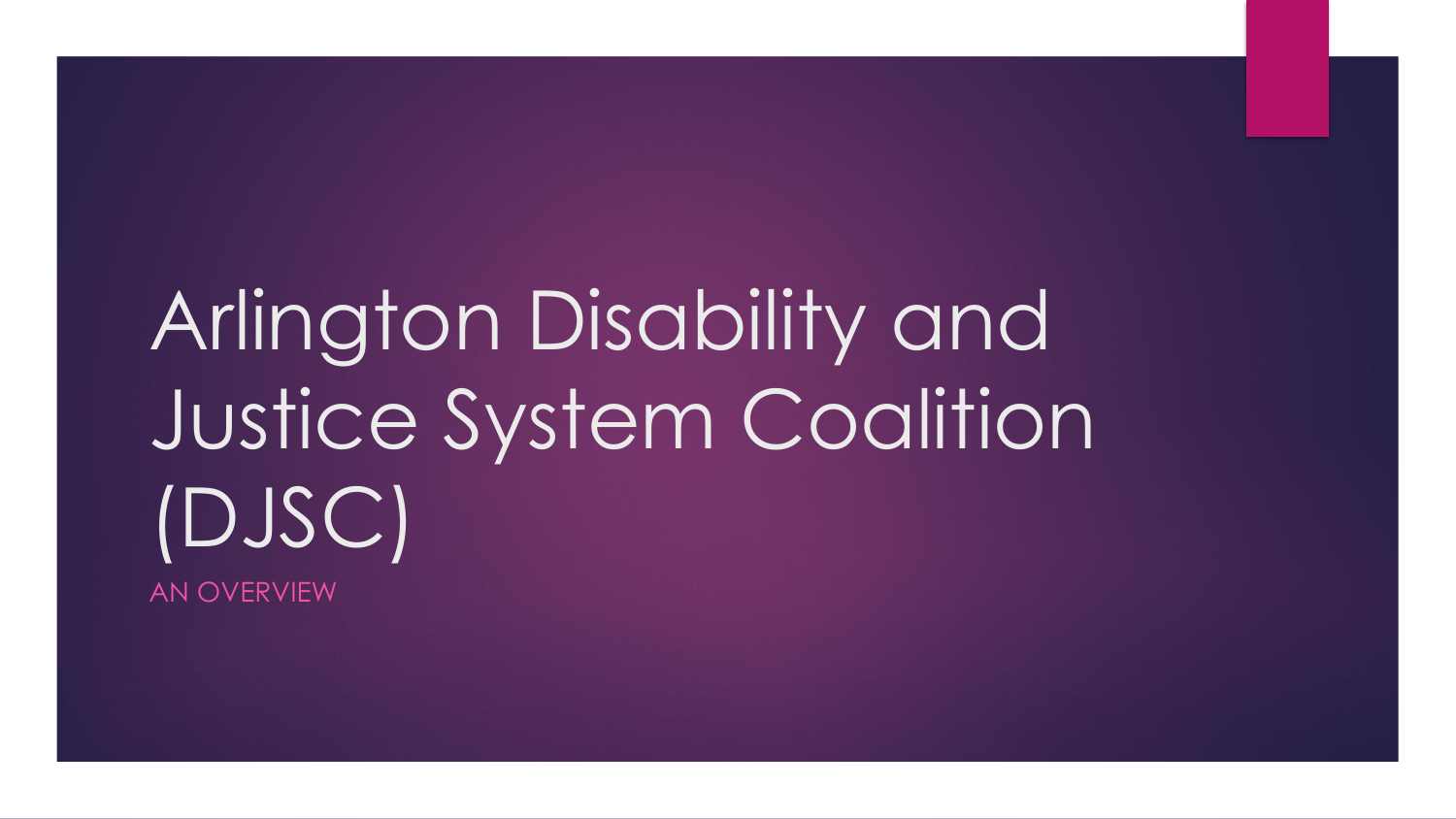## Arlington Disability and Justice System Coalition (DJSC)

AN OVERVIEW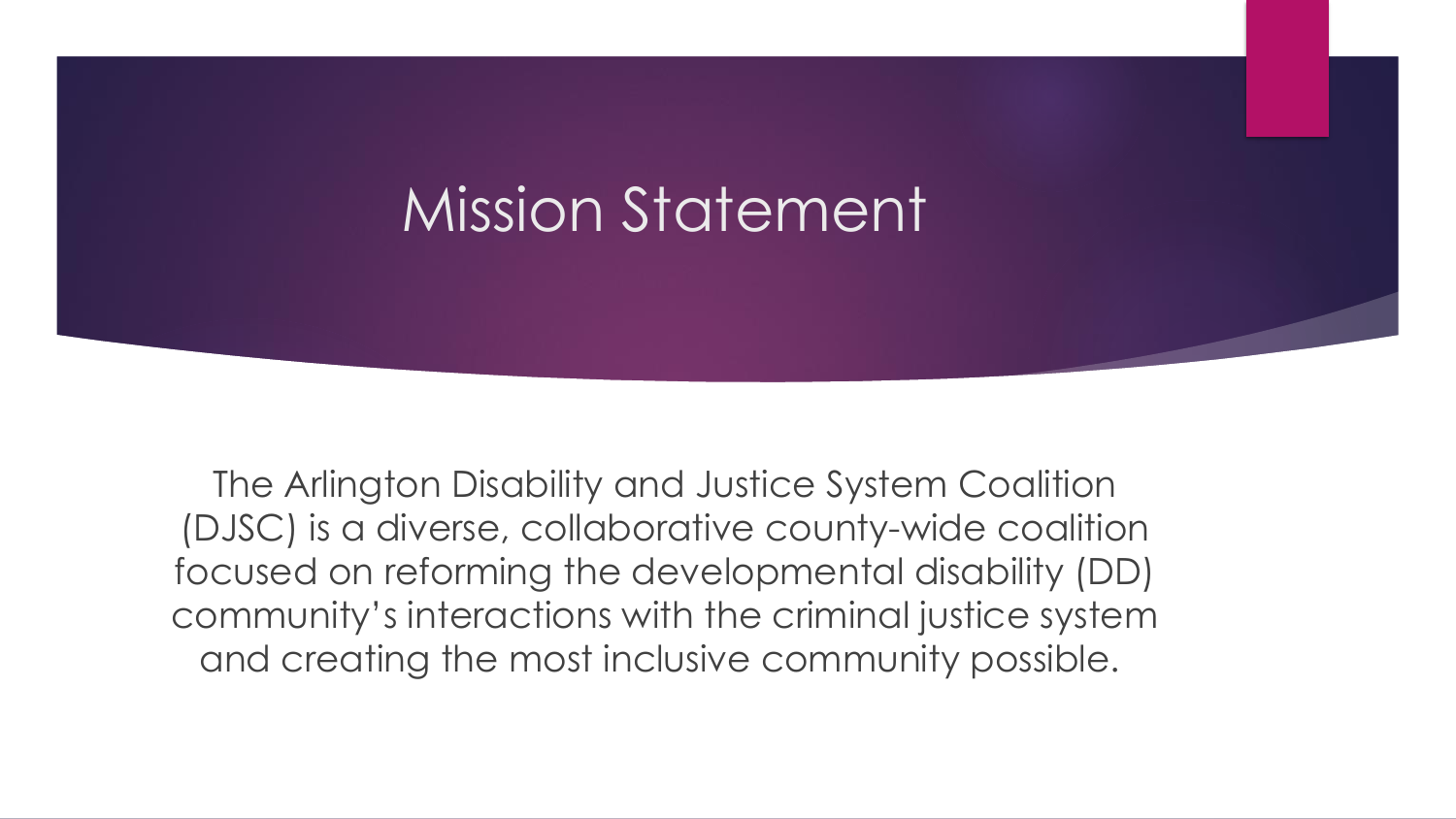## Mission Statement

The Arlington Disability and Justice System Coalition (DJSC) is a diverse, collaborative county-wide coalition focused on reforming the developmental disability (DD) community's interactions with the criminal justice system and creating the most inclusive community possible.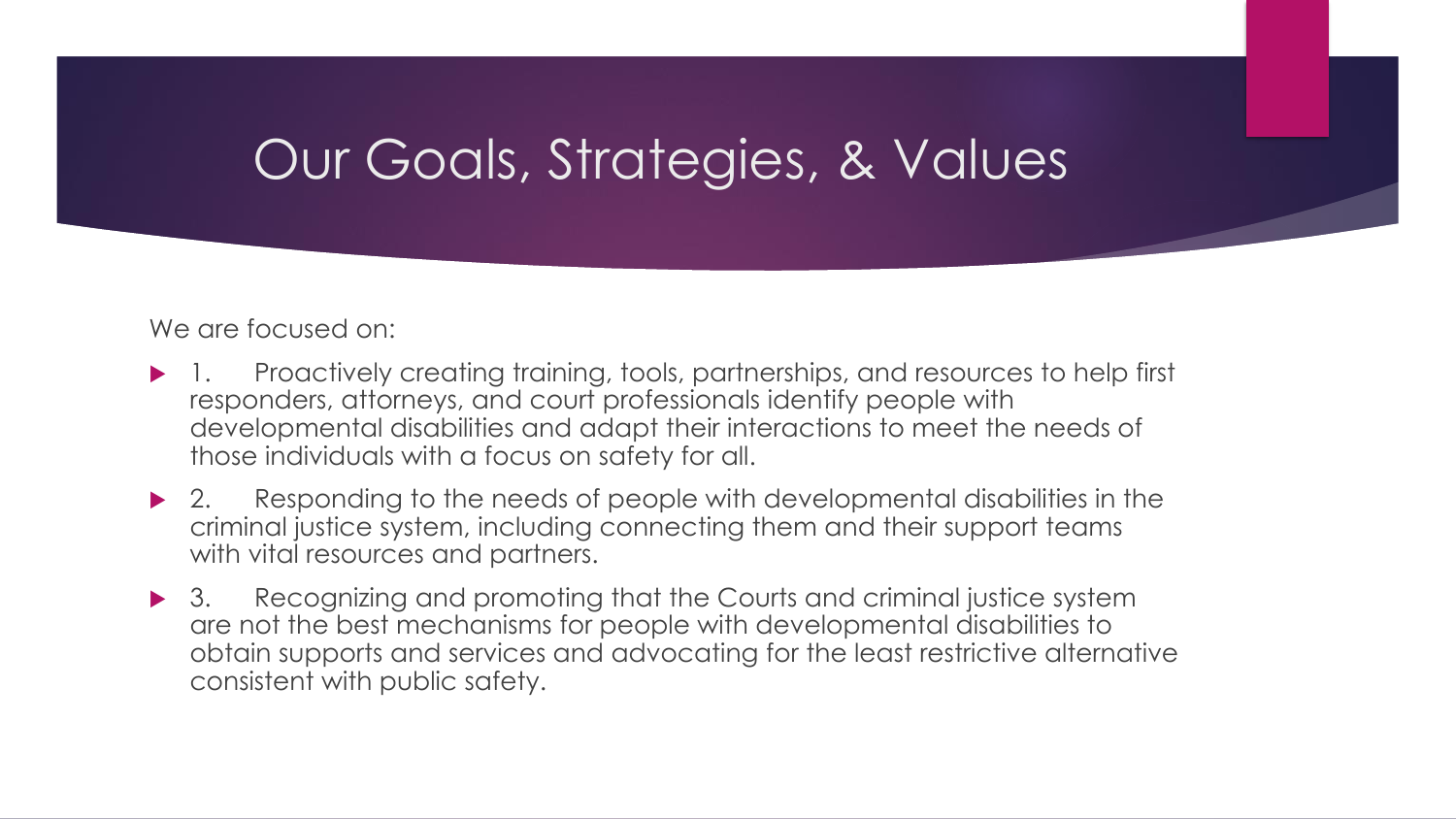## Our Goals, Strategies, & Values

We are focused on:

- Proactively creating training, tools, partnerships, and resources to help first responders, attorneys, and court professionals identify people with developmental disabilities and adapt their interactions to meet the needs of those individuals with a focus on safety for all.
- ▶ 2. Responding to the needs of people with developmental disabilities in the criminal justice system, including connecting them and their support teams with vital resources and partners.
- ▶ 3. Recognizing and promoting that the Courts and criminal justice system are not the best mechanisms for people with developmental disabilities to obtain supports and services and advocating for the least restrictive alternative consistent with public safety.